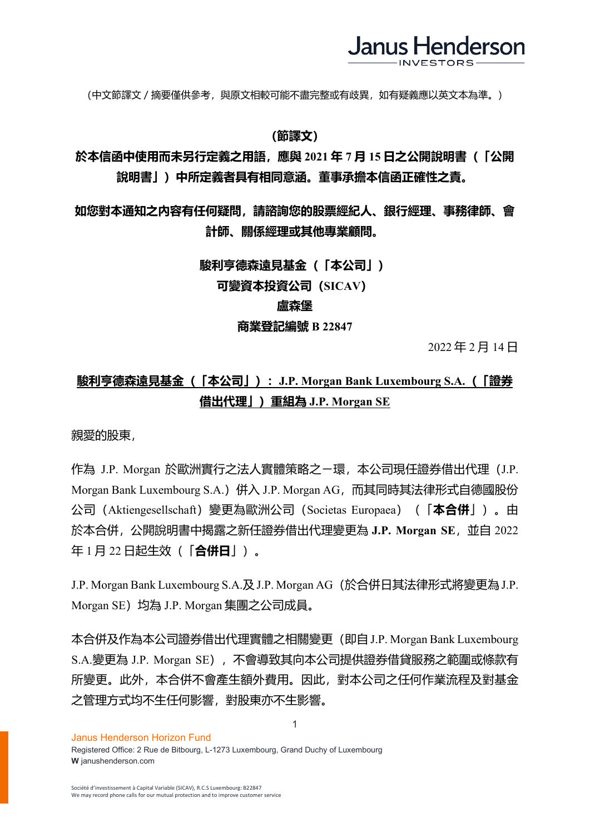

(中文節譯文/摘要僅供參考,與原文相較可能不盡完整或有歧異,如有疑義應以英文本為準。)

## **(節譯文)**

## **於本信函中使用而未另行定義之用語,應與 2021 年 7 月 15 日之公開說明書(「公開 說明書」)中所定義者具有相同意涵。董事承擔本信函正確性之責。**

# **如您對本通知之內容有任何疑問,請諮詢您的股票經紀人、銀行經理、事務律師、會 計師、關係經理或其他專業顧問。**

### **駿利亨德森遠見基金(「本公司」)**

**可變資本投資公司(SICAV)**

#### **盧森堡**

### **商業登記編號 B 22847**

2022 年 2 月 14 日

# **駿利亨德森遠見基金(「本公司」):J.P. Morgan Bank Luxembourg S.A.(「證券 借出代理」)重組為 J.P. Morgan SE**

親愛的股東,

作為 J.P. Morgan 於歐洲實行之法人實體策略之ㄧ環, 本公司現任證券借出代理 (J.P. Morgan Bank Luxembourg S.A.) 併入 J.P. Morgan AG, 而其同時其法律形式自德國股份 公司(Aktiengesellschaft)變更為歐洲公司(Societas Europaea)(「**本合併**」)。由 於本合併,公開說明書中揭露之新任證券借出代理變更為 **J.P. Morgan SE**,並自 2022 年 1 月 22 日起生效(「**合併日**」)。

J.P. Morgan Bank Luxembourg S.A.及J.P. Morgan AG(於合併日其法律形式將變更為J.P. Morgan SE)均為 J.P. Morgan 集團之公司成員。

本合併及作為本公司證券借出代理實體之相關變更(即自J.P. Morgan Bank Luxembourg S.A.變更為 J.P. Morgan SE),不會導致其向本公司提供證券借貸服務之範圍或條款有 所變更。此外,本合併不會產生額外費用。因此,對本公司之任何作業流程及對基金 之管理方式均不生任何影響,對股東亦不生影響。

1

#### Janus Henderson Horizon Fund

Registered Office: 2 Rue de Bitbourg, L-1273 Luxembourg, Grand Duchy of Luxembourg **W** janushenderson.com